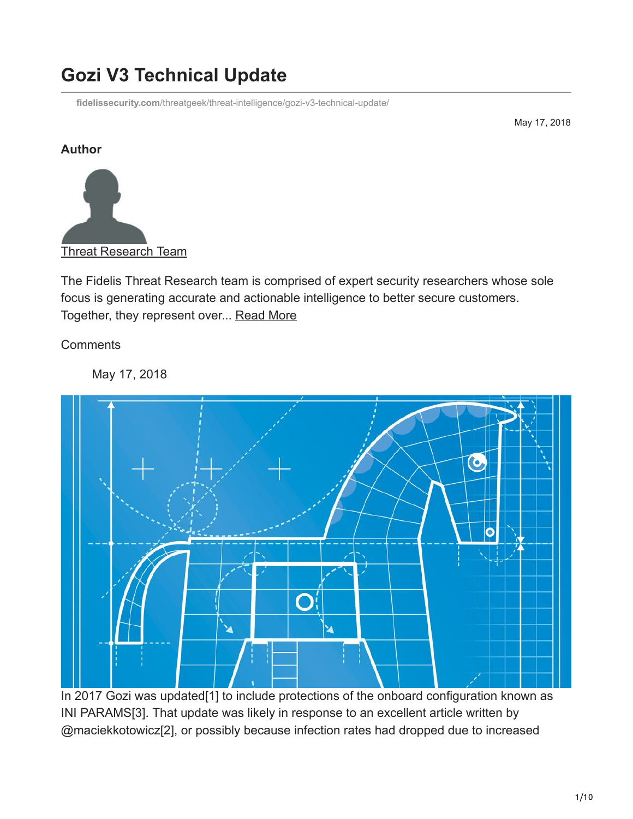# **Gozi V3 Technical Update**

**fidelissecurity.com**[/threatgeek/threat-intelligence/gozi-v3-technical-update/](https://www.fidelissecurity.com/threatgeek/threat-intelligence/gozi-v3-technical-update/)

May 17, 2018

#### **Author**



The Fidelis Threat Research team is comprised of expert security researchers whose sole focus is generating accurate and actionable intelligence to better secure customers. Together, they represent over... [Read More](https://fidelissecurity.com/threatgeek/author/threat-research-team/)

**Comments** 

May 17, 2018



In 2017 Gozi was updated[1] to include protections of the onboard configuration known as INI PARAMS[3]. That update was likely in response to an excellent article written by @maciekkotowicz[2], or possibly because infection rates had dropped due to increased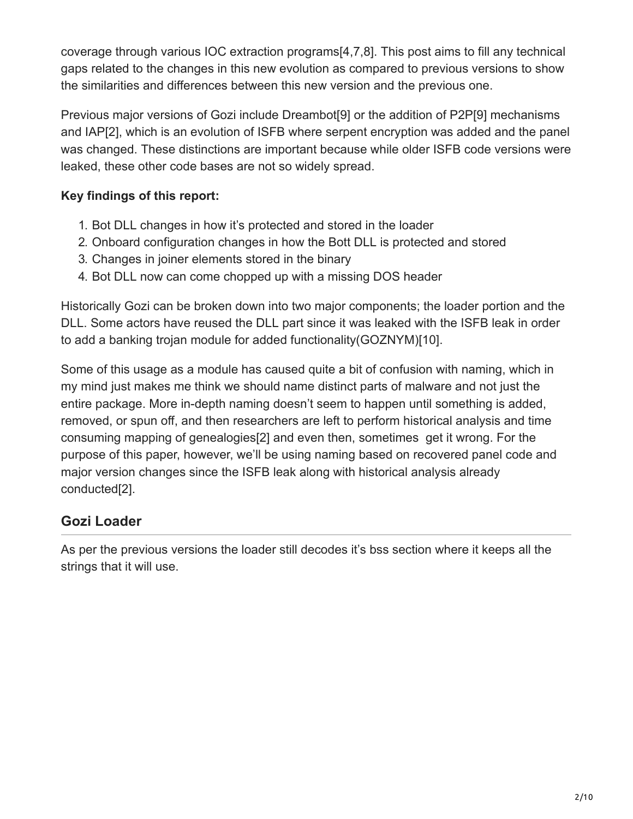coverage through various IOC extraction programs[4,7,8]. This post aims to fill any technical gaps related to the changes in this new evolution as compared to previous versions to show the similarities and differences between this new version and the previous one.

Previous major versions of Gozi include Dreambot[9] or the addition of P2P[9] mechanisms and IAP[2], which is an evolution of ISFB where serpent encryption was added and the panel was changed. These distinctions are important because while older ISFB code versions were leaked, these other code bases are not so widely spread.

#### **Key findings of this report:**

- 1. Bot DLL changes in how it's protected and stored in the loader
- 2. Onboard configuration changes in how the Bott DLL is protected and stored
- 3. Changes in joiner elements stored in the binary
- 4. Bot DLL now can come chopped up with a missing DOS header

Historically Gozi can be broken down into two major components; the loader portion and the DLL. Some actors have reused the DLL part since it was leaked with the ISFB leak in order to add a banking trojan module for added functionality(GOZNYM)[10].

Some of this usage as a module has caused quite a bit of confusion with naming, which in my mind just makes me think we should name distinct parts of malware and not just the entire package. More in-depth naming doesn't seem to happen until something is added, removed, or spun off, and then researchers are left to perform historical analysis and time consuming mapping of genealogies[2] and even then, sometimes get it wrong. For the purpose of this paper, however, we'll be using naming based on recovered panel code and major version changes since the ISFB leak along with historical analysis already conducted[2].

# **Gozi Loader**

As per the previous versions the loader still decodes it's bss section where it keeps all the strings that it will use.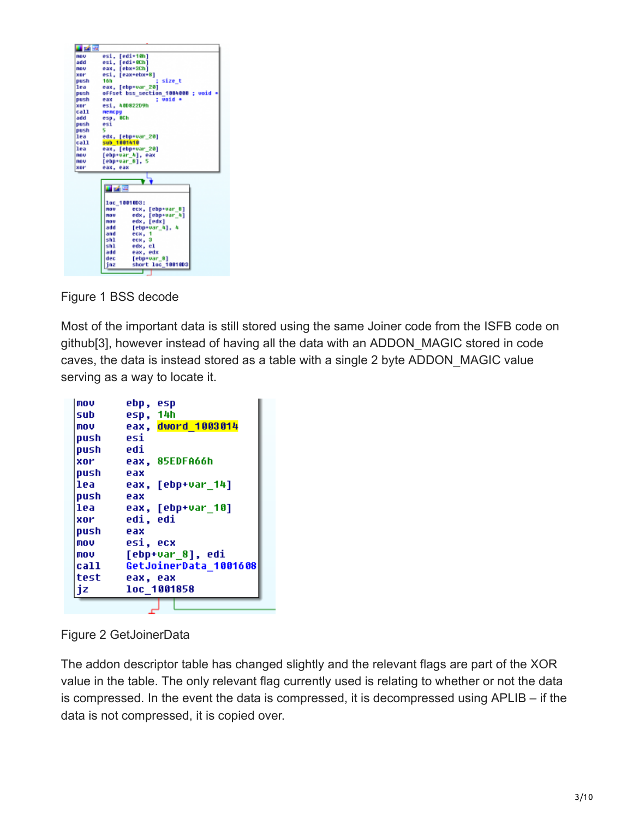

Figure 1 BSS decode

Most of the important data is still stored using the same Joiner code from the ISFB code on github[3], however instead of having all the data with an ADDON\_MAGIC stored in code caves, the data is instead stored as a table with a single 2 byte ADDON\_MAGIC value serving as a way to locate it.

| mov   | ebp, esp              |
|-------|-----------------------|
| sub   | esp, 14h              |
| mov   | eax, dword 1003014    |
| push  | esi                   |
| push  | edi                   |
| xor   | eax, 85EDFA66h        |
| push  | eax                   |
| lea   | eax, [ebp+var 14]     |
| push  | eax                   |
| lea   | eax, [ebp+var 10]     |
| xor   | edi, edi              |
| push  | eax                   |
| mou   | esi, ecx              |
| mov   | [ebp+var_8], edi      |
| call. | GetJoinerData 1001608 |
| test  | eax, eax              |
| jz    | loc 1001858           |
|       |                       |

Figure 2 GetJoinerData

The addon descriptor table has changed slightly and the relevant flags are part of the XOR value in the table. The only relevant flag currently used is relating to whether or not the data is compressed. In the event the data is compressed, it is decompressed using APLIB – if the data is not compressed, it is copied over.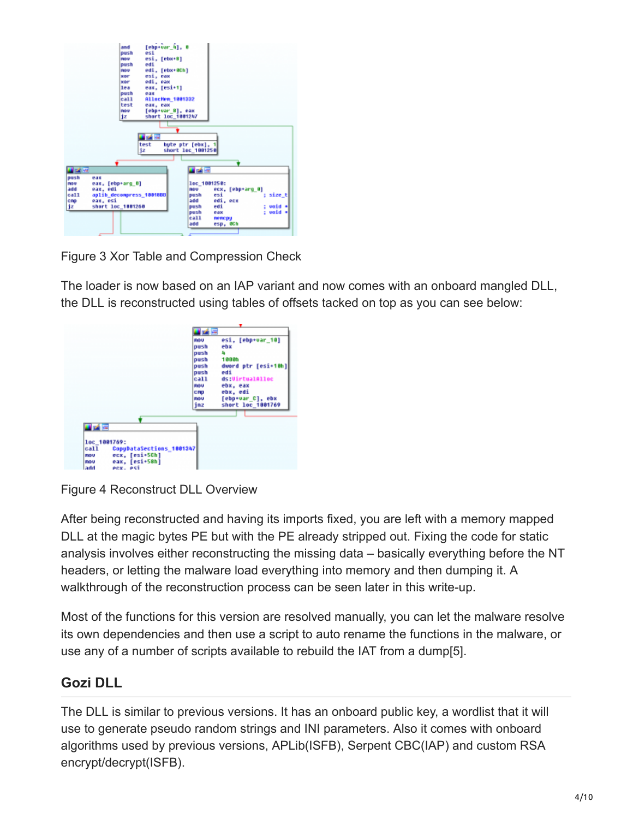| [ebp+var_h], 0<br>and<br>esi<br>push<br>esi, [ebx+B]<br>nov<br>edi.<br>push<br>edi. [ebx+0Ch]<br>nov<br>esi, eax<br>xer<br>edi, eax<br><b>xoom</b><br>eax, [esi+1]<br>lea<br>push<br>eax |                                                                                                                                                                              |
|------------------------------------------------------------------------------------------------------------------------------------------------------------------------------------------|------------------------------------------------------------------------------------------------------------------------------------------------------------------------------|
| call.<br>Allochen 1001332<br>test<br>еак, еак<br>[ebp+var B], eax<br>nov<br>short loc 1001247<br>jz                                                                                      |                                                                                                                                                                              |
| <b>Red War</b><br>test<br>íz                                                                                                                                                             | byte ptr [ebx]. 1<br>short loc 1001258                                                                                                                                       |
| おす                                                                                                                                                                                       | ■ 24 年                                                                                                                                                                       |
| push<br>eax<br>eax, [ebp+arg_0]<br>mou<br>add<br>eax, edi<br>call<br>aplib decompress 1001888<br>cro<br>eax, esi<br>jz<br>short loc 1001260                                              | 1ec_1001250:<br>ecx. [ebp+arq 0]<br>nov<br>push<br>esi<br>size t<br>200<br>edi, ecx<br>woid *<br>edi<br>push<br>: void +<br>push<br>eax<br>call<br>пепсру<br>add<br>esp. @Ch |

Figure 3 Xor Table and Compression Check

The loader is now based on an IAP variant and now comes with an onboard mangled DLL, the DLL is reconstructed using tables of offsets tacked on top as you can see below:

|                                                                | 画面<br>esi, [ebp+var 10]<br>FIG U       |
|----------------------------------------------------------------|----------------------------------------|
|                                                                | ebx<br>push                            |
|                                                                | push<br>л                              |
|                                                                | 1000h<br>push                          |
|                                                                | dword ptr [esi+10h]<br>push            |
|                                                                | edi<br>push<br>ca11<br>ds:UirtualAlloc |
|                                                                | ebx, eax<br><b>FIOU</b>                |
|                                                                | ebx, edi<br>CRD                        |
|                                                                | [ebp+var_C], ebx<br>FIG U              |
|                                                                | short loc 1801769<br>jnz               |
|                                                                |                                        |
|                                                                |                                        |
| ■ 24 元                                                         |                                        |
|                                                                |                                        |
| loc_1001769:                                                   |                                        |
| call<br>CopyDataSections 1001347                               |                                        |
| ecx, [esi+5Ch]<br><b>FIOU</b><br>eax. [esi+58h]<br><b>FIGU</b> |                                        |
|                                                                |                                        |

Figure 4 Reconstruct DLL Overview

After being reconstructed and having its imports fixed, you are left with a memory mapped DLL at the magic bytes PE but with the PE already stripped out. Fixing the code for static analysis involves either reconstructing the missing data – basically everything before the NT headers, or letting the malware load everything into memory and then dumping it. A walkthrough of the reconstruction process can be seen later in this write-up.

Most of the functions for this version are resolved manually, you can let the malware resolve its own dependencies and then use a script to auto rename the functions in the malware, or use any of a number of scripts available to rebuild the IAT from a dump[5].

# **Gozi DLL**

The DLL is similar to previous versions. It has an onboard public key, a wordlist that it will use to generate pseudo random strings and INI parameters. Also it comes with onboard algorithms used by previous versions, APLib(ISFB), Serpent CBC(IAP) and custom RSA encrypt/decrypt(ISFB).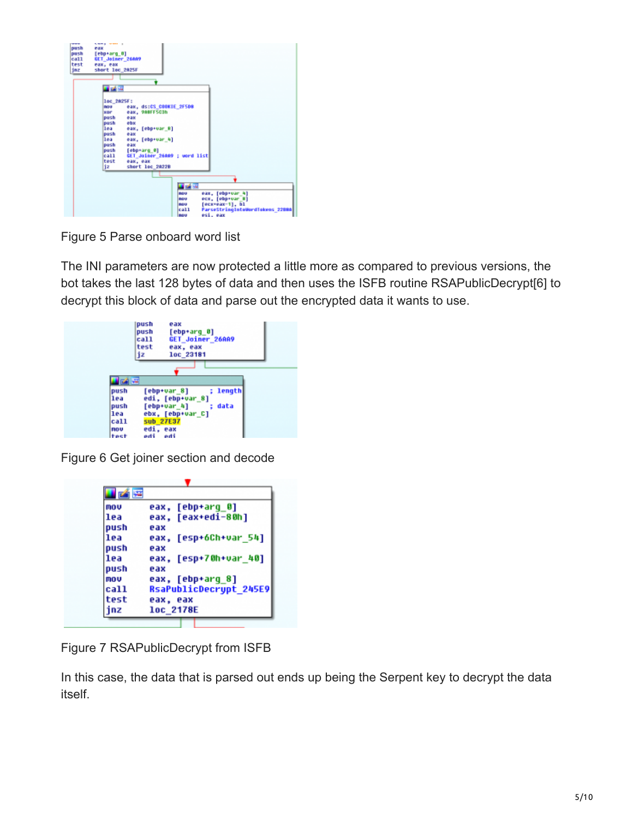

Figure 5 Parse onboard word list

The INI parameters are now protected a little more as compared to previous versions, the bot takes the last 128 bytes of data and then uses the ISFB routine RSAPublicDecrypt[6] to decrypt this block of data and parse out the encrypted data it wants to use.

|                                                   | push<br>eax<br>push<br>[ebp+arq 0]<br>GET_Joiner_26AA9<br>call<br>test<br>eax, eax<br>jz<br>loc 23181                                |
|---------------------------------------------------|--------------------------------------------------------------------------------------------------------------------------------------|
| 國国                                                |                                                                                                                                      |
| push<br>lea<br>push<br>lea<br>ca11<br>nov<br>test | length<br>$[$ ebp+var $_8]$<br>edi, [ebp+var_8]<br>data<br>$[$ ebp+var 4]<br>ebx, [ebp+var C]<br>sub 27E37<br>edi, eax<br>edi<br>edi |

Figure 6 Get joiner section and decode

| mov  | eax, [ebp+arq 0]              |
|------|-------------------------------|
| lea  | eax. [eax+edi-80h]            |
| push | eax                           |
| lea  | eax, [esp+6Ch+var 54]         |
| push | eax                           |
| lea  | eax, [esp+70h+var_40]         |
| push | eax                           |
| mou  | eax, [ebp+arq 8]              |
| call | <b>RsaPublicDecrypt 245E9</b> |
| test | eax, eax                      |
| nz   | <b>10c 2178E</b>              |

Figure 7 RSAPublicDecrypt from ISFB

In this case, the data that is parsed out ends up being the Serpent key to decrypt the data itself.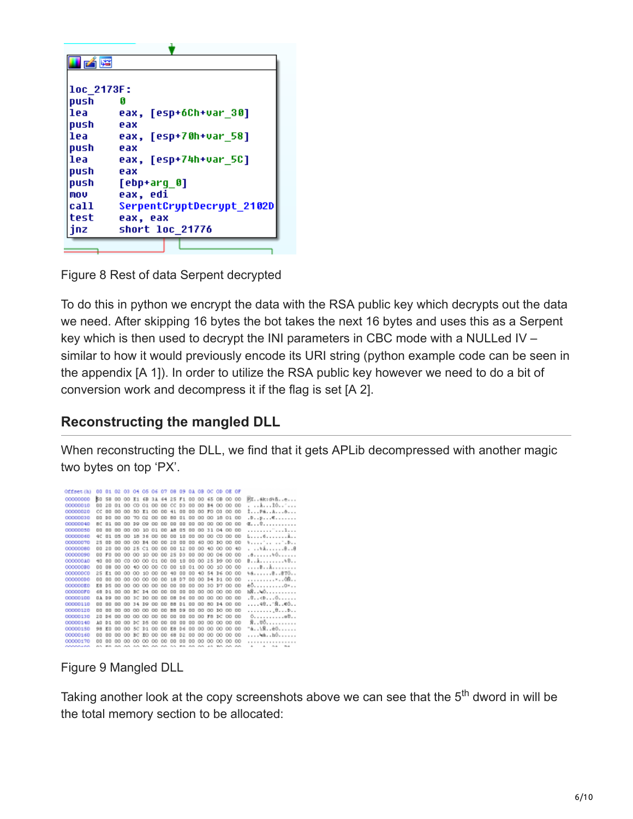| 乙降         |                           |
|------------|---------------------------|
|            |                           |
| loc 2173F: |                           |
| push       | A                         |
| lea        | eax, [esp+6Ch+var 30]     |
| push       | eax                       |
| llea       | eax, [esp+70h+var 58]     |
| push       | eax                       |
| l 1e a     | eax, [esp+74h+var 5C]     |
| push       | eax                       |
| push       | [ebp+arq 0]               |
| mou        | eax, edi                  |
| ca11       | SerpentCryptDecrypt_2102D |
| test       | eax, eax                  |
| jnz        | short loc 21776           |
|            |                           |

Figure 8 Rest of data Serpent decrypted

To do this in python we encrypt the data with the RSA public key which decrypts out the data we need. After skipping 16 bytes the bot takes the next 16 bytes and uses this as a Serpent key which is then used to decrypt the INI parameters in CBC mode with a NULLed IV – similar to how it would previously encode its URI string (python example code can be seen in the appendix [A 1]). In order to utilize the RSA public key however we need to do a bit of conversion work and decompress it if the flag is set [A 2].

# **Reconstructing the mangled DLL**

When reconstructing the DLL, we find that it gets APLib decompressed with another magic two bytes on top 'PX'.

| Offset (h) |                |                |           | 00 01 02 03 04 05 06 07 08 09 0A 0B OC OD OE OF    |          |          |                   |    |                |           |                   |                |          |                |    |                                |
|------------|----------------|----------------|-----------|----------------------------------------------------|----------|----------|-------------------|----|----------------|-----------|-------------------|----------------|----------|----------------|----|--------------------------------|
| 00000000   | kα             |                |           | 58 00 00 E1 6B 3A 64 25 F1 00 00                   |          |          |                   |    |                |           |                   |                |          | 65 OB 00 00    |    | PX6k:d\ñe                      |
| 00000010   | 00             | 20             |           | 01 00                                              | $\infty$ |          | 01 00 00 CC D3    |    |                | 00        | 00                |                |          | B4 00 00 00    |    | . 10. . <sup>.</sup>           |
| 00000020   | CC             | 00             | 00        | OQ                                                 | 50       | E1 00 00 |                   | 41 | 0 <sub>0</sub> | 00        | OQ                | $_{\text{TO}}$ | $\alpha$ | 00 00          |    | 1P680                          |
| 00000030   | $\Box$         | DD             | 00        | 00                                                 | 70 02    | 00 00    |                   | 80 | 01             | 00        | 00                | 00             |          | 18 01 00       |    |                                |
| 00000040   |                | 8C 01          |           | 00 00 19 09 00 00 00 00                            |          |          |                   |    |                |           | 88 88 88 88 88 88 |                |          |                |    | C. C.                          |
| 00000050   | n <sub>n</sub> | <b>DD</b>      |           | 88 88 88 88 88 89 88 89 88 89                      |          |          |                   |    |                |           | 00 00 31 04 00 00 |                |          |                |    | . ¨ 1                          |
| 00000060   | 4C             |                |           | 01 05 00 18 36 00 00 00 10                         |          |          |                   |    |                | <b>DD</b> | 00 00 00 00 00    |                |          |                |    | 5. 6.                          |
| 00000070   | 25             | <b>DD</b>      |           | 00 00 00 B4 00 00 20 00                            |          |          |                   |    |                | <b>DD</b> |                   |                |          | 60 00 10 00 00 |    | terries as about               |
| 00000080   | 00             | 20             |           | 00 00 25 C1 00 00 00 12                            |          |          |                   |    |                | <b>DD</b> | 00 40 00 00 40    |                |          |                |    |                                |
| 00000090   | 00             | FO             |           | 00 00 00 10 00 00 25 03 00 00 00 06 00 00          |          |          |                   |    |                |           |                   |                |          |                |    |                                |
| 000000A0   | 40             | 00             |           | 00 00 00 00 01 00 00 10                            |          |          |                   |    |                | 00        | 00 25 19 00 00    |                |          |                |    | BA0                            |
| 00000080   | 00             | 08             |           | 00 00 40 00 00 00 00 10                            |          |          |                   |    |                |           | 01 00 00 10 00 00 |                |          |                |    | . B A                          |
| 00000000   |                | 25 E1          | 00        | 00 00 10 00 00 40 00                               |          |          |                   |    |                |           | 00 40 54 D6 00 00 |                |          |                |    | 46. B. . 870. .                |
| 00000000   | 00             | 00             |           | 00 00 00 00 00 00 18 07                            |          |          |                   |    |                | 00        | 00 D4 D1 00 00    |                |          |                |    | . × 08.                        |
| 000000E0   | кn             | DS             | 00        | 00                                                 |          |          | 00 00 00 00 00 00 |    |                | 00        | 00                |                |          | 30 37 00 00    |    | e0. 0*                         |
| 00000070   | 68             | D1             | 00        | 00                                                 |          |          | DC D4 00 00 00    |    | 00             | 00        | 00                |                |          | 00 00 00 00    |    | hR. . 40.                      |
| 00000100   | <b>DA</b>      | D <sub>D</sub> | 00        | $_{00}$                                            |          |          | 30 10 00 00 00    |    | D 6            | <b>DD</b> | 00                |                |          | 00 00 00 00    |    | . 0. . < 0. 0.                 |
| 00000110   | $\Box$         | D <sub>D</sub> | 00        | 00 34 19 00 00 88                                  |          |          |                   |    | D1             | DD.       | $_{00}$           |                |          | 80 P4 00 00    |    | 40"Ñ@ô                         |
| 00000120   | $\Box$         | $\Box$         | 00        |                                                    |          |          | 00 00 00 00 00 88 |    | D SI           | <b>DD</b> | <b>DD</b>         |                |          | 00 10 00 00    |    | . <sub>.</sub> 0. <del>.</del> |
| 00000130   | 2n             | D6             |           | 00 00 00 00 00 00 00                               |          |          |                   |    | <b>DD</b>      | <b>DD</b> | 00 FS DC 00 00    |                |          |                |    |                                |
| 00000140   | $\Delta$ D     | D1             | <b>DD</b> |                                                    |          |          | 00 DC D5 00 00 00 |    | 00             | <b>DD</b> |                   |                |          | 00 00 00 00 00 |    | 8. . 00.                       |
| 00000150   | 98             | EO             |           | 00 00 5C D1 00 00 E8 D6                            |          |          |                   |    |                | <b>DD</b> | 00 00 00 00       |                |          |                | OO | $-a18e0$                       |
| 00000160   | 00             | 00             |           | 00 00 BC E0 00 00 68 D2                            |          |          |                   |    |                | 00        | 00 00 00 00 00    |                |          |                |    | . 48. h0.                      |
| 00000170   | 00             | 00             |           | 00 00                                              |          |          | 00 00 00 00 00    |    | 00             | 00        | 00                |                |          | 00 00 00 00    |    |                                |
| ---------  |                |                |           | 85 85 55 55 35 85 85 55 85 55 85 55 55 15 85 55 55 |          |          |                   |    |                |           |                   |                |          |                |    | A A AA WA                      |

Figure 9 Mangled DLL

Taking another look at the copy screenshots above we can see that the 5<sup>th</sup> dword in will be the total memory section to be allocated: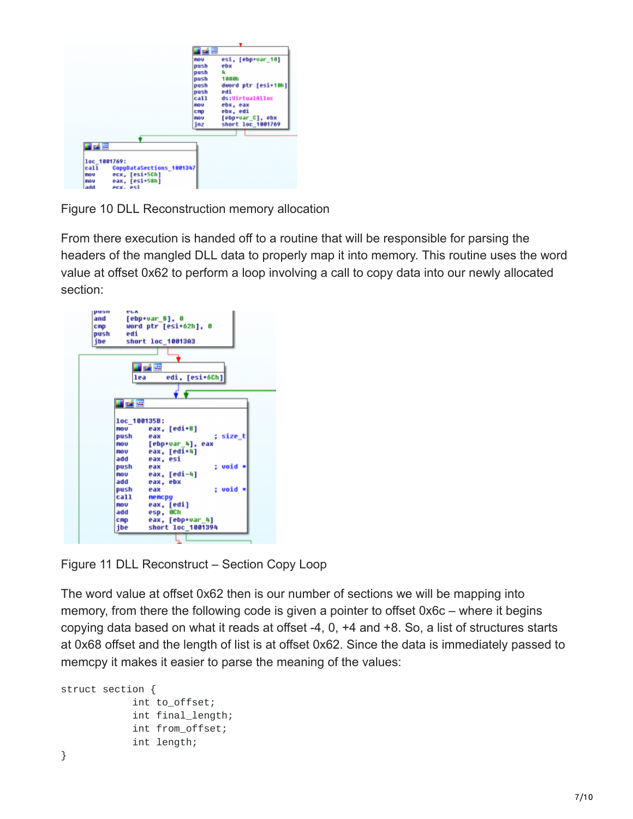|                                                                                                                                                     | 西南區                                                                                               |                                                                                                                                                                 |
|-----------------------------------------------------------------------------------------------------------------------------------------------------|---------------------------------------------------------------------------------------------------|-----------------------------------------------------------------------------------------------------------------------------------------------------------------|
|                                                                                                                                                     | FIG U<br>push<br>push<br>push<br>push<br>push<br>ca11<br><b>FIOU</b><br>CRP<br><b>FIGU</b><br>jnz | esi. [ebp+var 10]<br>ebx<br>п<br><b>1000h</b><br>dword ptr [esi+10h]<br>edi<br>ds:UirtualAlloc<br>ebx, eax<br>ebx, edi<br>[ebp+var_C], ebx<br>short loc_1001769 |
| 立之座<br>loc 1001769:<br>call<br>CopyDataSections 1001347<br>ecx. [esi+5Ch]<br><b>FIOU</b><br>eax, [esi+58h]<br><b>FIGU</b><br>add<br><b>ACX. ASS</b> |                                                                                                   |                                                                                                                                                                 |

Figure 10 DLL Reconstruction memory allocation

From there execution is handed off to a routine that will be responsible for parsing the headers of the mangled DLL data to properly map it into memory. This routine uses the word value at offset 0x62 to perform a loop involving a call to copy data into our newly allocated section:



Figure 11 DLL Reconstruct – Section Copy Loop

The word value at offset 0x62 then is our number of sections we will be mapping into memory, from there the following code is given a pointer to offset 0x6c – where it begins copying data based on what it reads at offset -4, 0, +4 and +8. So, a list of structures starts at 0x68 offset and the length of list is at offset 0x62. Since the data is immediately passed to memcpy it makes it easier to parse the meaning of the values:

```
struct section {
            int to_offset;
            int final_length;
            int from_offset;
            int length;
```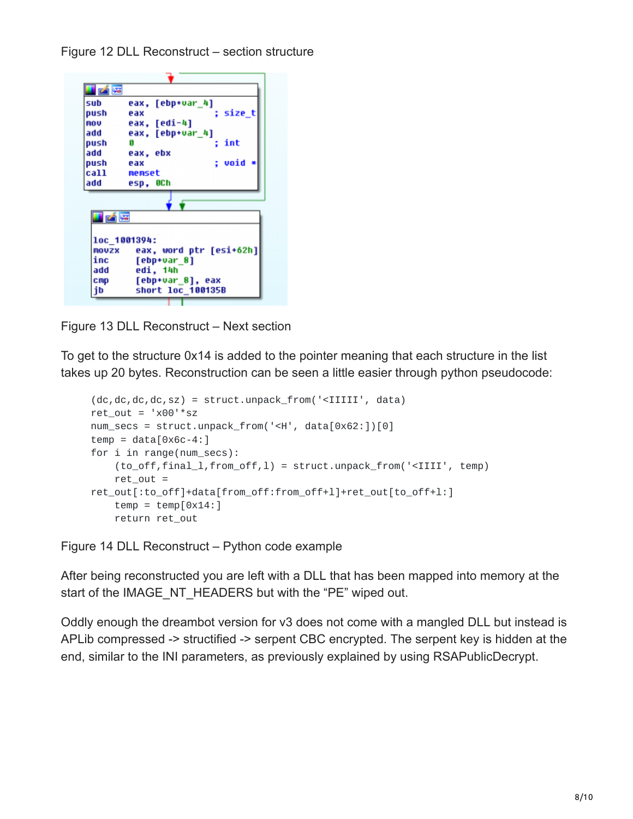Figure 12 DLL Reconstruct – section structure

| sub              | eax, [ebp+var 4]        |
|------------------|-------------------------|
| push             | ; size_t<br>eax         |
| nov              | eax, [edi-4]            |
| add              | eax, [ebp+var 4]        |
| push             | int<br>G                |
| add              | eax, ebx                |
| push             | ; void<br>eax           |
| call <b>call</b> | nemset                  |
| add              | esp, OCh                |
|                  |                         |
| u på lei         |                         |
|                  | loc 1001394:            |
| MOUZX            | eax, word ptr [esi+62h] |
| inc              | [ebp+var 8]             |
| add              | edi, 14h                |
| cmp              | [ebp+var_8], eax        |
| ib               | short loc 100135B       |

Figure 13 DLL Reconstruct – Next section

To get to the structure 0x14 is added to the pointer meaning that each structure in the list takes up 20 bytes. Reconstruction can be seen a little easier through python pseudocode:

```
(dc,dc,dc,dc,sz) = struct.unpack_from('<IIIII', data)
ret\_out = 'x00' * sznum_secs = struct.unpack_from('<H', data[0x62:])[0]
temp = data[0 \times 6c - 4:]for i in range(num_secs):
    (to_off,final_l,from_off,l) = struct.unpack_from('<IIII', temp)
    ret_out =ret_out[:to_off]+data[from_off:from_off+l]+ret_out[to_off+l:]
    temp = temp[0x14:]return ret_out
```
Figure 14 DLL Reconstruct – Python code example

After being reconstructed you are left with a DLL that has been mapped into memory at the start of the IMAGE\_NT\_HEADERS but with the "PE" wiped out.

Oddly enough the dreambot version for v3 does not come with a mangled DLL but instead is APLib compressed -> structified -> serpent CBC encrypted. The serpent key is hidden at the end, similar to the INI parameters, as previously explained by using RSAPublicDecrypt.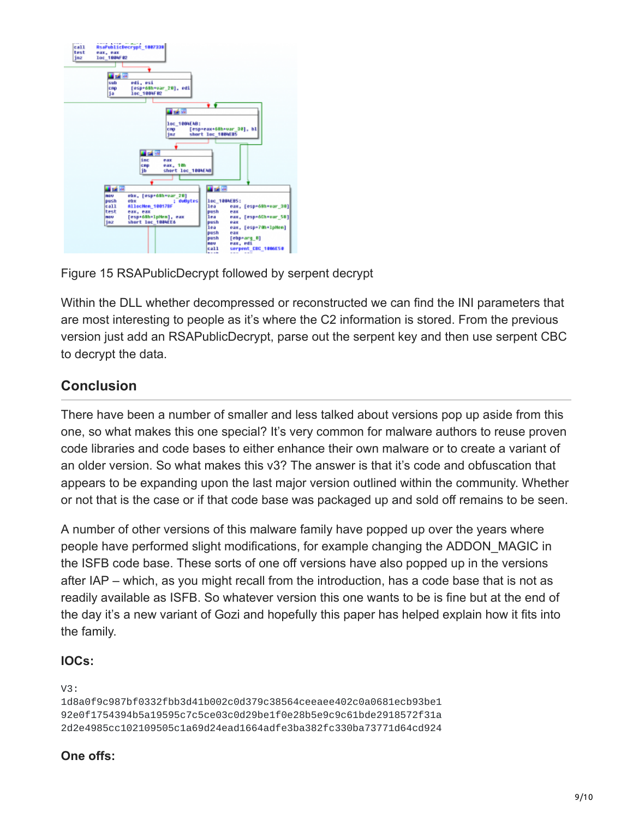

Figure 15 RSAPublicDecrypt followed by serpent decrypt

Within the DLL whether decompressed or reconstructed we can find the INI parameters that are most interesting to people as it's where the C2 information is stored. From the previous version just add an RSAPublicDecrypt, parse out the serpent key and then use serpent CBC to decrypt the data.

# **Conclusion**

There have been a number of smaller and less talked about versions pop up aside from this one, so what makes this one special? It's very common for malware authors to reuse proven code libraries and code bases to either enhance their own malware or to create a variant of an older version. So what makes this v3? The answer is that it's code and obfuscation that appears to be expanding upon the last major version outlined within the community. Whether or not that is the case or if that code base was packaged up and sold off remains to be seen.

A number of other versions of this malware family have popped up over the years where people have performed slight modifications, for example changing the ADDON\_MAGIC in the ISFB code base. These sorts of one off versions have also popped up in the versions after IAP – which, as you might recall from the introduction, has a code base that is not as readily available as ISFB. So whatever version this one wants to be is fine but at the end of the day it's a new variant of Gozi and hopefully this paper has helped explain how it fits into the family.

#### **IOCs:**

```
V3:
```

```
1d8a0f9c987bf0332fbb3d41b002c0d379c38564ceeaee402c0a0681ecb93be1
92e0f1754394b5a19595c7c5ce03c0d29be1f0e28b5e9c9c61bde2918572f31a
2d2e4985cc102109505c1a69d24ead1664adfe3ba382fc330ba73771d64cd924
```
### **One offs:**